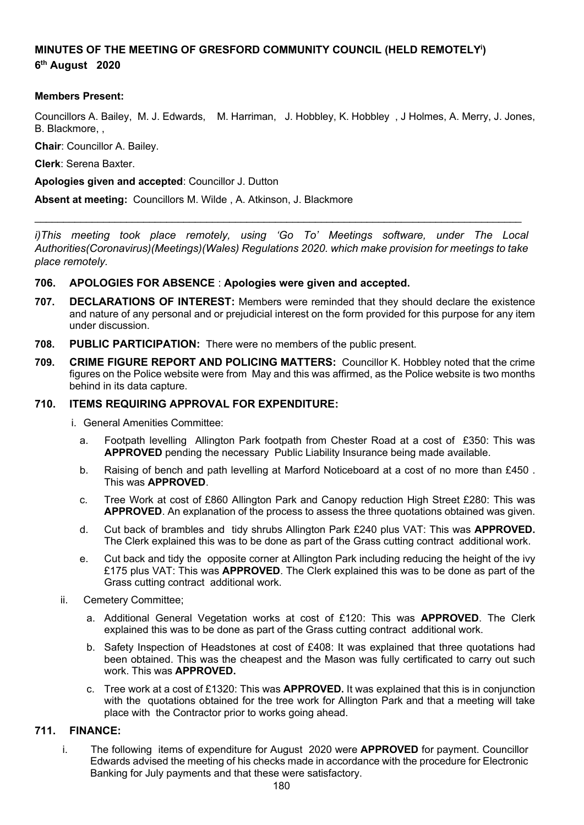# **MINUTES OF THE MEETING OF GRESFORD COMMUNITY COUNCIL (HELD REMOTELY<sup>i</sup> ) 6 th August 2020**

### **Members Present:**

Councillors A. Bailey, M. J. Edwards, M. Harriman, J. Hobbley, K. Hobbley , J Holmes, A. Merry, J. Jones, B. Blackmore, ,

**Chair**: Councillor A. Bailey.

**Clerk**: Serena Baxter.

**Apologies given and accepted**: Councillor J. Dutton

**Absent at meeting:** Councillors M. Wilde , A. Atkinson, J. Blackmore

*i)This meeting took place remotely, using 'Go To' Meetings software, under The Local Authorities(Coronavirus)(Meetings)(Wales) Regulations 2020. which make provision for meetings to take place remotely.*

\_\_\_\_\_\_\_\_\_\_\_\_\_\_\_\_\_\_\_\_\_\_\_\_\_\_\_\_\_\_\_\_\_\_\_\_\_\_\_\_\_\_\_\_\_\_\_\_\_\_\_\_\_\_\_\_\_\_\_\_\_\_\_\_\_\_\_\_\_\_\_\_\_\_\_\_\_\_\_\_\_\_\_\_\_

#### **706. APOLOGIES FOR ABSENCE** : **Apologies were given and accepted.**

- **707. DECLARATIONS OF INTEREST:** Members were reminded that they should declare the existence and nature of any personal and or prejudicial interest on the form provided for this purpose for any item under discussion.
- **708. PUBLIC PARTICIPATION:** There were no members of the public present.
- **709. CRIME FIGURE REPORT AND POLICING MATTERS:** Councillor K. Hobbley noted that the crime figures on the Police website were from May and this was affirmed, as the Police website is two months behind in its data capture.

#### **710. ITEMS REQUIRING APPROVAL FOR EXPENDITURE:**

- i. General Amenities Committee:
	- a. Footpath levelling Allington Park footpath from Chester Road at a cost of £350: This was **APPROVED** pending the necessary Public Liability Insurance being made available.
	- b. Raising of bench and path levelling at Marford Noticeboard at a cost of no more than £450 . This was **APPROVED**.
	- c. Tree Work at cost of £860 Allington Park and Canopy reduction High Street £280: This was **APPROVED**. An explanation of the process to assess the three quotations obtained was given.
	- d. Cut back of brambles and tidy shrubs Allington Park £240 plus VAT: This was **APPROVED.** The Clerk explained this was to be done as part of the Grass cutting contract additional work.
	- e. Cut back and tidy the opposite corner at Allington Park including reducing the height of the ivy £175 plus VAT: This was **APPROVED**. The Clerk explained this was to be done as part of the Grass cutting contract additional work.
- ii. Cemetery Committee;
	- a. Additional General Vegetation works at cost of £120: This was **APPROVED**. The Clerk explained this was to be done as part of the Grass cutting contract additional work.
	- b. Safety Inspection of Headstones at cost of £408: It was explained that three quotations had been obtained. This was the cheapest and the Mason was fully certificated to carry out such work. This was **APPROVED.**
	- c. Tree work at a cost of £1320: This was **APPROVED.** It was explained that this is in conjunction with the quotations obtained for the tree work for Allington Park and that a meeting will take place with the Contractor prior to works going ahead.

## **711. FINANCE:**

i. The following items of expenditure for August 2020 were **APPROVED** for payment. Councillor Edwards advised the meeting of his checks made in accordance with the procedure for Electronic Banking for July payments and that these were satisfactory.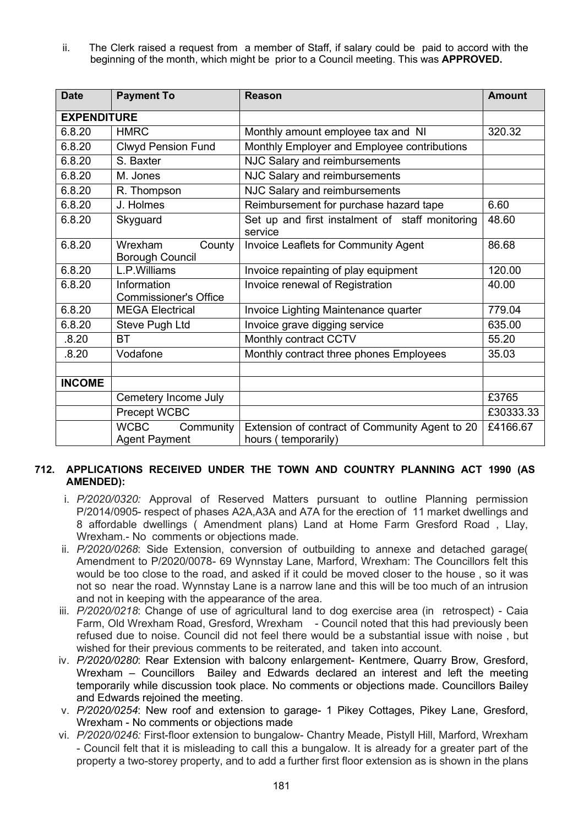ii. The Clerk raised a request from a member of Staff, if salary could be paid to accord with the beginning of the month, which might be prior to a Council meeting. This was **APPROVED.**

| <b>Date</b>        | <b>Payment To</b>                                | <b>Reason</b>                                                         | <b>Amount</b> |
|--------------------|--------------------------------------------------|-----------------------------------------------------------------------|---------------|
| <b>EXPENDITURE</b> |                                                  |                                                                       |               |
| 6.8.20             | <b>HMRC</b>                                      | Monthly amount employee tax and NI                                    | 320.32        |
| 6.8.20             | <b>Clwyd Pension Fund</b>                        | Monthly Employer and Employee contributions                           |               |
| 6.8.20             | S. Baxter                                        | NJC Salary and reimbursements                                         |               |
| 6.8.20             | M. Jones                                         | NJC Salary and reimbursements                                         |               |
| 6.8.20             | R. Thompson                                      | NJC Salary and reimbursements                                         |               |
| 6.8.20             | J. Holmes                                        | Reimbursement for purchase hazard tape                                | 6.60          |
| 6.8.20             | Skyguard                                         | Set up and first instalment of staff monitoring<br>service            | 48.60         |
| 6.8.20             | Wrexham<br>County<br><b>Borough Council</b>      | <b>Invoice Leaflets for Community Agent</b>                           | 86.68         |
| 6.8.20             | L.P.Williams                                     | Invoice repainting of play equipment                                  | 120.00        |
| 6.8.20             | Information<br><b>Commissioner's Office</b>      | Invoice renewal of Registration                                       | 40.00         |
| 6.8.20             | <b>MEGA Electrical</b>                           | Invoice Lighting Maintenance quarter                                  | 779.04        |
| 6.8.20             | Steve Pugh Ltd                                   | Invoice grave digging service                                         | 635.00        |
| .8.20              | <b>BT</b>                                        | Monthly contract CCTV                                                 | 55.20         |
| .8.20              | Vodafone                                         | Monthly contract three phones Employees                               | 35.03         |
|                    |                                                  |                                                                       |               |
| <b>INCOME</b>      |                                                  |                                                                       |               |
|                    | Cemetery Income July                             |                                                                       | £3765         |
|                    | Precept WCBC                                     |                                                                       | £30333.33     |
|                    | <b>WCBC</b><br>Community<br><b>Agent Payment</b> | Extension of contract of Community Agent to 20<br>hours (temporarily) | £4166.67      |

## **712. APPLICATIONS RECEIVED UNDER THE TOWN AND COUNTRY PLANNING ACT 1990 (AS AMENDED):**

- i. *P/2020/0320:* Approval of Reserved Matters pursuant to outline Planning permission P/2014/0905- respect of phases A2A,A3A and A7A for the erection of 11 market dwellings and 8 affordable dwellings ( Amendment plans) Land at Home Farm Gresford Road , Llay, Wrexham.- No comments or objections made.
- ii. *P/2020/0268*: Side Extension, conversion of outbuilding to annexe and detached garage( Amendment to P/2020/0078- 69 Wynnstay Lane, Marford, Wrexham: The Councillors felt this would be too close to the road, and asked if it could be moved closer to the house , so it was not so near the road. Wynnstay Lane is a narrow lane and this will be too much of an intrusion and not in keeping with the appearance of the area.
- iii. *P/2020/0218*: Change of use of agricultural land to dog exercise area (in retrospect) Caia Farm, Old Wrexham Road, Gresford, Wrexham - Council noted that this had previously been refused due to noise. Council did not feel there would be a substantial issue with noise , but wished for their previous comments to be reiterated, and taken into account.
- iv. *P/2020/0280*: Rear Extension with balcony enlargement- Kentmere, Quarry Brow, Gresford, Wrexham – Councillors Bailey and Edwards declared an interest and left the meeting temporarily while discussion took place. No comments or objections made. Councillors Bailey and Edwards rejoined the meeting.
- v. *P/2020/0254*: New roof and extension to garage- 1 Pikey Cottages, Pikey Lane, Gresford, Wrexham - No comments or objections made
- vi. *P/2020/0246:* First-floor extension to bungalow- Chantry Meade, Pistyll Hill, Marford, Wrexham - Council felt that it is misleading to call this a bungalow. It is already for a greater part of the property a two-storey property, and to add a further first floor extension as is shown in the plans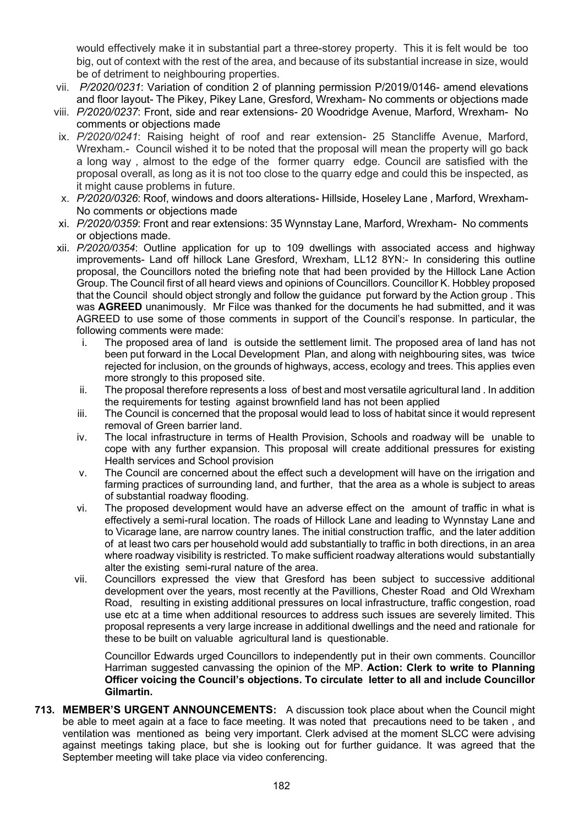would effectively make it in substantial part a three-storey property. This it is felt would be too big, out of context with the rest of the area, and because of its substantial increase in size, would be of detriment to neighbouring properties.

- vii. *P/2020/0231*: Variation of condition 2 of planning permission P/2019/0146- amend elevations and floor layout- The Pikey, Pikey Lane, Gresford, Wrexham- No comments or objections made
- viii. *P/2020/0237*: Front, side and rear extensions- 20 Woodridge Avenue, Marford, Wrexham- No comments or objections made
- ix. *P/2020/0241*: Raising height of roof and rear extension- 25 Stancliffe Avenue, Marford, Wrexham.- Council wished it to be noted that the proposal will mean the property will go back a long way , almost to the edge of the former quarry edge. Council are satisfied with the proposal overall, as long as it is not too close to the quarry edge and could this be inspected, as it might cause problems in future.
- x. *P/2020/0326*: Roof, windows and doors alterations- Hillside, Hoseley Lane , Marford, Wrexham-No comments or objections made
- xi. *P/2020/0359*: Front and rear extensions: 35 Wynnstay Lane, Marford, Wrexham- No comments or objections made.
- xii. *P/2020/0354*: Outline application for up to 109 dwellings with associated access and highway improvements- Land off hillock Lane Gresford, Wrexham, LL12 8YN:- In considering this outline proposal, the Councillors noted the briefing note that had been provided by the Hillock Lane Action Group. The Council first of all heard views and opinions of Councillors. Councillor K. Hobbley proposed that the Council should object strongly and follow the guidance put forward by the Action group . This was **AGREED** unanimously. Mr Filce was thanked for the documents he had submitted, and it was AGREED to use some of those comments in support of the Council's response. In particular, the following comments were made:
	- i. The proposed area of land is outside the settlement limit. The proposed area of land has not been put forward in the Local Development Plan, and along with neighbouring sites, was twice rejected for inclusion, on the grounds of highways, access, ecology and trees. This applies even more strongly to this proposed site.
	- ii. The proposal therefore represents a loss of best and most versatile agricultural land . In addition the requirements for testing against brownfield land has not been applied
	- iii. The Council is concerned that the proposal would lead to loss of habitat since it would represent removal of Green barrier land.
	- iv. The local infrastructure in terms of Health Provision, Schools and roadway will be unable to cope with any further expansion. This proposal will create additional pressures for existing Health services and School provision
	- v. The Council are concerned about the effect such a development will have on the irrigation and farming practices of surrounding land, and further, that the area as a whole is subject to areas of substantial roadway flooding.
	- vi. The proposed development would have an adverse effect on the amount of traffic in what is effectively a semi-rural location. The roads of Hillock Lane and leading to Wynnstay Lane and to Vicarage lane, are narrow country lanes. The initial construction traffic, and the later addition of at least two cars per household would add substantially to traffic in both directions, in an area where roadway visibility is restricted. To make sufficient roadway alterations would substantially alter the existing semi-rural nature of the area.
	- vii. Councillors expressed the view that Gresford has been subject to successive additional development over the years, most recently at the Pavillions, Chester Road and Old Wrexham Road, resulting in existing additional pressures on local infrastructure, traffic congestion, road use etc at a time when additional resources to address such issues are severely limited. This proposal represents a very large increase in additional dwellings and the need and rationale for these to be built on valuable agricultural land is questionable.

Councillor Edwards urged Councillors to independently put in their own comments. Councillor Harriman suggested canvassing the opinion of the MP. **Action: Clerk to write to Planning Officer voicing the Council's objections. To circulate letter to all and include Councillor Gilmartin.**

**713. MEMBER'S URGENT ANNOUNCEMENTS:** A discussion took place about when the Council might be able to meet again at a face to face meeting. It was noted that precautions need to be taken , and ventilation was mentioned as being very important. Clerk advised at the moment SLCC were advising against meetings taking place, but she is looking out for further guidance. It was agreed that the September meeting will take place via video conferencing.